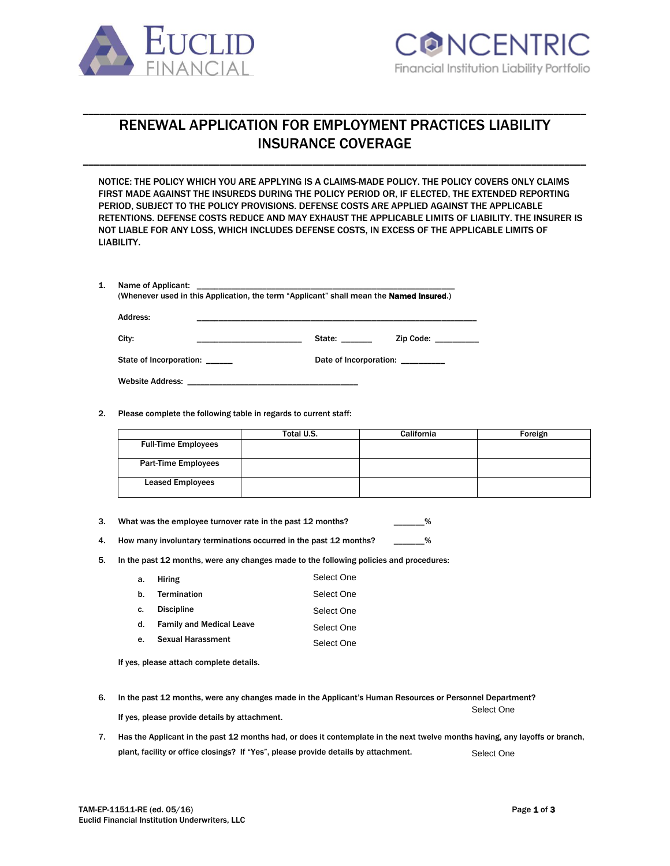



# RENEWAL APPLICATION FOR EMPLOYMENT PRACTICES LIABILITY INSURANCE COVERAGE

\_\_\_\_\_\_\_\_\_\_\_\_\_\_\_\_\_\_\_\_\_\_\_\_\_\_\_\_\_\_\_\_\_\_\_\_\_\_\_\_\_\_\_\_\_\_\_\_\_\_\_\_\_\_\_\_\_\_\_\_\_\_\_\_\_\_\_\_\_\_\_\_\_\_\_\_\_\_\_\_\_\_\_\_\_\_\_\_\_\_\_\_

\_\_\_\_\_\_\_\_\_\_\_\_\_\_\_\_\_\_\_\_\_\_\_\_\_\_\_\_\_\_\_\_\_\_\_\_\_\_\_\_\_\_\_\_\_\_\_\_\_\_\_\_\_\_\_\_\_\_\_\_\_\_\_\_\_\_\_\_\_\_\_\_\_\_\_\_\_\_\_\_\_\_\_\_\_\_\_\_\_\_\_\_

NOTICE: THE POLICY WHICH YOU ARE APPLYING IS A CLAIMS-MADE POLICY. THE POLICY COVERS ONLY CLAIMS FIRST MADE AGAINST THE INSUREDS DURING THE POLICY PERIOD OR, IF ELECTED, THE EXTENDED REPORTING PERIOD, SUBJECT TO THE POLICY PROVISIONS. DEFENSE COSTS ARE APPLIED AGAINST THE APPLICABLE RETENTIONS. DEFENSE COSTS REDUCE AND MAY EXHAUST THE APPLICABLE LIMITS OF LIABILITY. THE INSURER IS NOT LIABLE FOR ANY LOSS, WHICH INCLUDES DEFENSE COSTS, IN EXCESS OF THE APPLICABLE LIMITS OF LIABILITY.

| 1. | Name of Applicant:<br>(Whenever used in this Application, the term "Applicant" shall mean the <b>Named Insured.</b> ) |                                                                                                                                                                                                                                             |  |  |
|----|-----------------------------------------------------------------------------------------------------------------------|---------------------------------------------------------------------------------------------------------------------------------------------------------------------------------------------------------------------------------------------|--|--|
|    | Address:                                                                                                              |                                                                                                                                                                                                                                             |  |  |
|    | City:                                                                                                                 | State: the state of the state of the state of the state of the state of the state of the state of the state of the state of the state of the state of the state of the state of the state of the state of the state of the sta<br>Zip Code: |  |  |
|    | State of Incorporation:                                                                                               | Date of Incorporation:                                                                                                                                                                                                                      |  |  |
|    | <b>Website Address:</b>                                                                                               |                                                                                                                                                                                                                                             |  |  |

2. Please complete the following table in regards to current staff:

|                            | Total U.S. | California | Foreign |
|----------------------------|------------|------------|---------|
| <b>Full-Time Employees</b> |            |            |         |
| <b>Part-Time Employees</b> |            |            |         |
| <b>Leased Employees</b>    |            |            |         |

3. What was the employee turnover rate in the past 12 months? \_\_\_\_\_\_\_%

4. How many involuntary terminations occurred in the past 12 months? \_\_\_\_\_\_\_%

5. In the past 12 months, were any changes made to the following policies and procedures:

| а. | <b>Hiring</b>                   | Select One |
|----|---------------------------------|------------|
| b. | Termination                     | Select One |
| c. | <b>Discipline</b>               | Select One |
| d. | <b>Family and Medical Leave</b> | Select One |
| e. | <b>Sexual Harassment</b>        | Select One |
|    |                                 |            |

If yes, please attach complete details.

| In the past 12 months, were any changes made in the Applicant's Human Resources or Personnel Department? |            |  |
|----------------------------------------------------------------------------------------------------------|------------|--|
|                                                                                                          | Select One |  |
| If yes, please provide details by attachment.                                                            |            |  |

7. Has the Applicant in the past 12 months had, or does it contemplate in the next twelve months having, any layoffs or branch, plant, facility or office closings? If "Yes", please provide details by attachment. Select One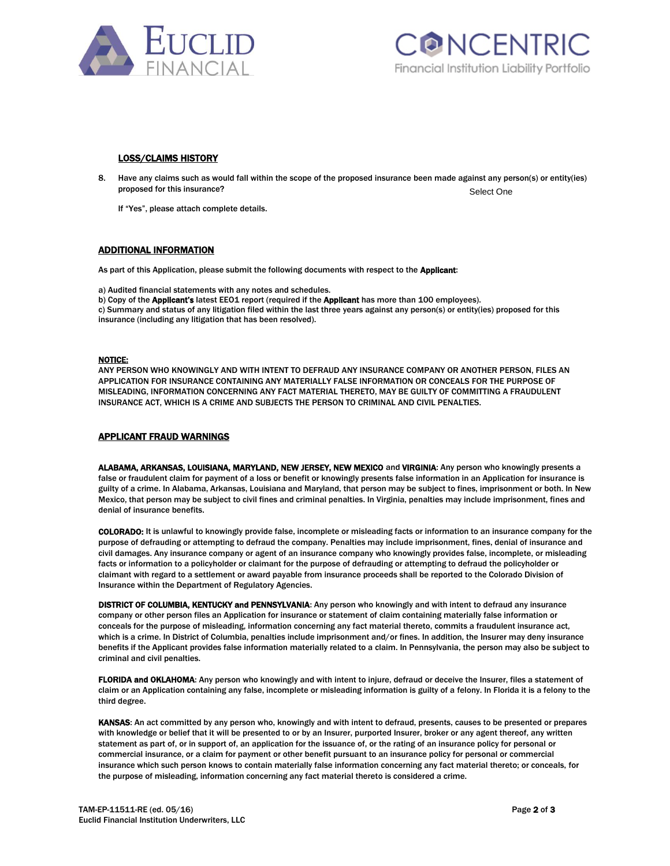



## LOSS/CLAIMS HISTORY

8. Have any claims such as would fall within the scope of the proposed insurance been made against any person(s) or entity(ies) proposed for this insurance? Select One

If "Yes", please attach complete details.

## ADDITIONAL INFORMATION

As part of this Application, please submit the following documents with respect to the Applicant:

a) Audited financial statements with any notes and schedules.

b) Copy of the Applicant's latest EEO1 report (required if the Applicant has more than 100 employees).

c) Summary and status of any litigation filed within the last three years against any person(s) or entity(ies) proposed for this insurance (including any litigation that has been resolved).

#### NOTICE:

ANY PERSON WHO KNOWINGLY AND WITH INTENT TO DEFRAUD ANY INSURANCE COMPANY OR ANOTHER PERSON, FILES AN APPLICATION FOR INSURANCE CONTAINING ANY MATERIALLY FALSE INFORMATION OR CONCEALS FOR THE PURPOSE OF MISLEADING, INFORMATION CONCERNING ANY FACT MATERIAL THERETO, MAY BE GUILTY OF COMMITTING A FRAUDULENT INSURANCE ACT, WHICH IS A CRIME AND SUBJECTS THE PERSON TO CRIMINAL AND CIVIL PENALTIES.

#### APPLICANT FRAUD WARNINGS

ALABAMA, ARKANSAS, LOUISIANA, MARYLAND, NEW JERSEY, NEW MEXICO and VIRGINIA: Any person who knowingly presents a false or fraudulent claim for payment of a loss or benefit or knowingly presents false information in an Application for insurance is guilty of a crime. In Alabama, Arkansas, Louisiana and Maryland, that person may be subject to fines, imprisonment or both. In New Mexico, that person may be subject to civil fines and criminal penalties. In Virginia, penalties may include imprisonment, fines and denial of insurance benefits.

COLORADO: It is unlawful to knowingly provide false, incomplete or misleading facts or information to an insurance company for the purpose of defrauding or attempting to defraud the company. Penalties may include imprisonment, fines, denial of insurance and civil damages. Any insurance company or agent of an insurance company who knowingly provides false, incomplete, or misleading facts or information to a policyholder or claimant for the purpose of defrauding or attempting to defraud the policyholder or claimant with regard to a settlement or award payable from insurance proceeds shall be reported to the Colorado Division of Insurance within the Department of Regulatory Agencies.

DISTRICT OF COLUMBIA, KENTUCKY and PENNSYLVANIA: Any person who knowingly and with intent to defraud any insurance company or other person files an Application for insurance or statement of claim containing materially false information or conceals for the purpose of misleading, information concerning any fact material thereto, commits a fraudulent insurance act, which is a crime. In District of Columbia, penalties include imprisonment and/or fines. In addition, the Insurer may deny insurance benefits if the Applicant provides false information materially related to a claim. In Pennsylvania, the person may also be subject to criminal and civil penalties.

FLORIDA and OKLAHOMA: Any person who knowingly and with intent to injure, defraud or deceive the Insurer, files a statement of claim or an Application containing any false, incomplete or misleading information is guilty of a felony. In Florida it is a felony to the third degree.

KANSAS: An act committed by any person who, knowingly and with intent to defraud, presents, causes to be presented or prepares with knowledge or belief that it will be presented to or by an Insurer, purported Insurer, broker or any agent thereof, any written statement as part of, or in support of, an application for the issuance of, or the rating of an insurance policy for personal or commercial insurance, or a claim for payment or other benefit pursuant to an insurance policy for personal or commercial insurance which such person knows to contain materially false information concerning any fact material thereto; or conceals, for the purpose of misleading, information concerning any fact material thereto is considered a crime.